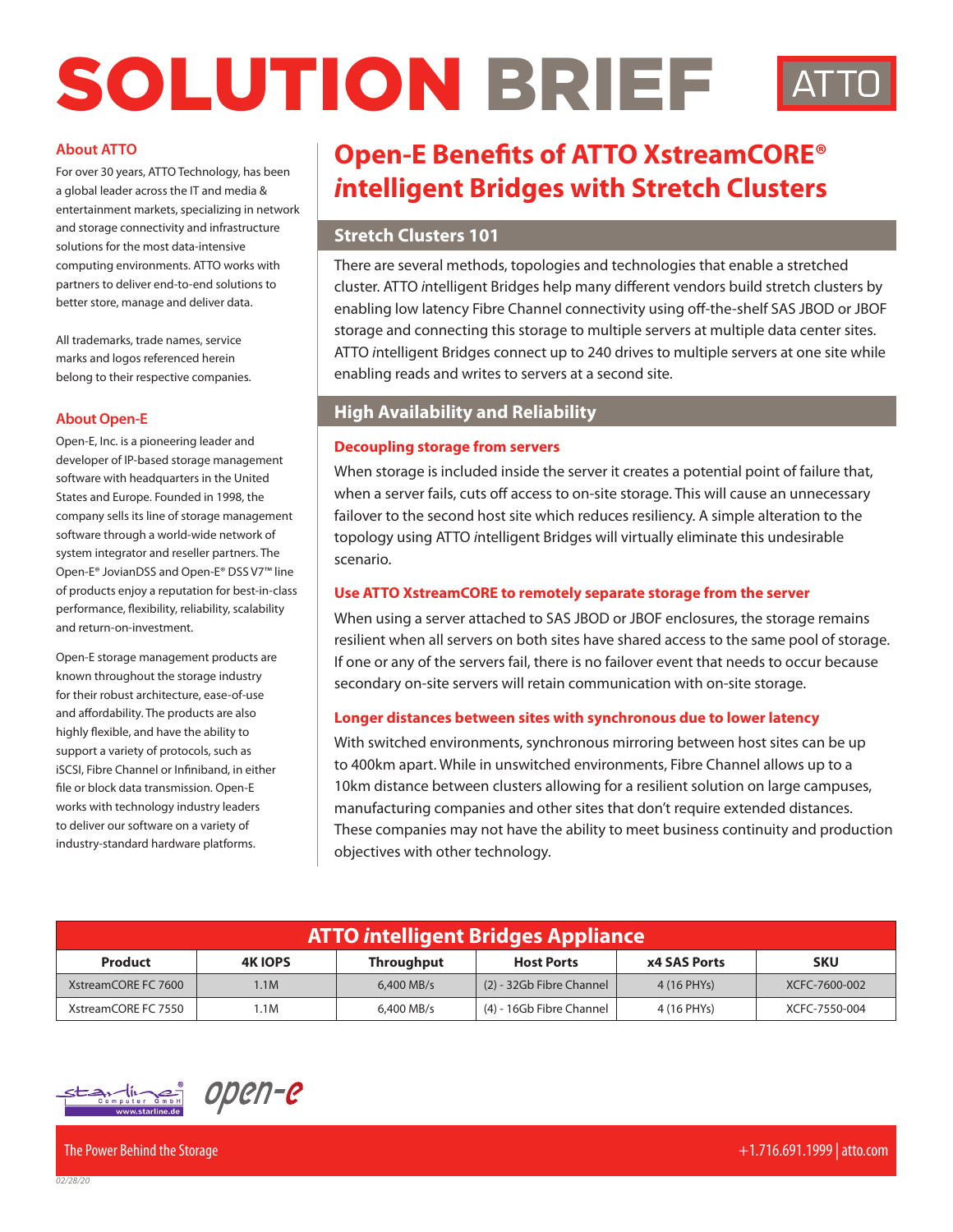# SOLUTION BRIEF



For over 30 years, ATTO Technology, has been a global leader across the IT and media & entertainment markets, specializing in network and storage connectivity and infrastructure solutions for the most data-intensive computing environments. ATTO works with partners to deliver end-to-end solutions to better store, manage and deliver data.

All trademarks, trade names, service marks and logos referenced herein belong to their respective companies.

#### **About Open-E**

Open-E, Inc. is a pioneering leader and developer of IP-based storage management software with headquarters in the United States and Europe. Founded in 1998, the company sells its line of storage management software through a world-wide network of system integrator and reseller partners. The Open-E® JovianDSS and Open-E® DSS V7™ line of products enjoy a reputation for best-in-class performance, flexibility, reliability, scalability and return-on-investment.

Open-E storage management products are known throughout the storage industry for their robust architecture, ease-of-use and affordability. The products are also highly flexible, and have the ability to support a variety of protocols, such as iSCSI, Fibre Channel or Infiniband, in either file or block data transmission. Open-E works with technology industry leaders to deliver our software on a variety of industry-standard hardware platforms.

# **Open-E Benefits of ATTO XstreamCORE®** *i***ntelligent Bridges with Stretch Clusters**

#### **Stretch Clusters 101**

There are several methods, topologies and technologies that enable a stretched cluster. ATTO *i*ntelligent Bridges help many different vendors build stretch clusters by enabling low latency Fibre Channel connectivity using off-the-shelf SAS JBOD or JBOF storage and connecting this storage to multiple servers at multiple data center sites. ATTO *i*ntelligent Bridges connect up to 240 drives to multiple servers at one site while enabling reads and writes to servers at a second site.

#### **High Availability and Reliability**

#### **Decoupling storage from servers**

When storage is included inside the server it creates a potential point of failure that, when a server fails, cuts off access to on-site storage. This will cause an unnecessary failover to the second host site which reduces resiliency. A simple alteration to the topology using ATTO *i*ntelligent Bridges will virtually eliminate this undesirable scenario.

#### **Use ATTO XstreamCORE to remotely separate storage from the server**

When using a server attached to SAS JBOD or JBOF enclosures, the storage remains resilient when all servers on both sites have shared access to the same pool of storage. If one or any of the servers fail, there is no failover event that needs to occur because secondary on-site servers will retain communication with on-site storage.

#### **Longer distances between sites with synchronous due to lower latency**

With switched environments, synchronous mirroring between host sites can be up to 400km apart. While in unswitched environments, Fibre Channel allows up to a 10km distance between clusters allowing for a resilient solution on large campuses, manufacturing companies and other sites that don't require extended distances. These companies may not have the ability to meet business continuity and production objectives with other technology.

| <b>ATTO intelligent Bridges Appliance</b> |                |                   |                          |                     |               |
|-------------------------------------------|----------------|-------------------|--------------------------|---------------------|---------------|
| Product                                   | <b>4K IOPS</b> | <b>Throughput</b> | <b>Host Ports</b>        | <b>x4 SAS Ports</b> | <b>SKU</b>    |
| XstreamCORE FC 7600                       | 1.1M           | $6,400$ MB/s      | (2) - 32Gb Fibre Channel | 4 (16 PHYs)         | XCFC-7600-002 |
| XstreamCORE FC 7550                       | 1.1M           | 6,400 MB/s        | (4) - 16Gb Fibre Channel | 4 (16 PHYs)         | XCFC-7550-004 |



*02/28/20*